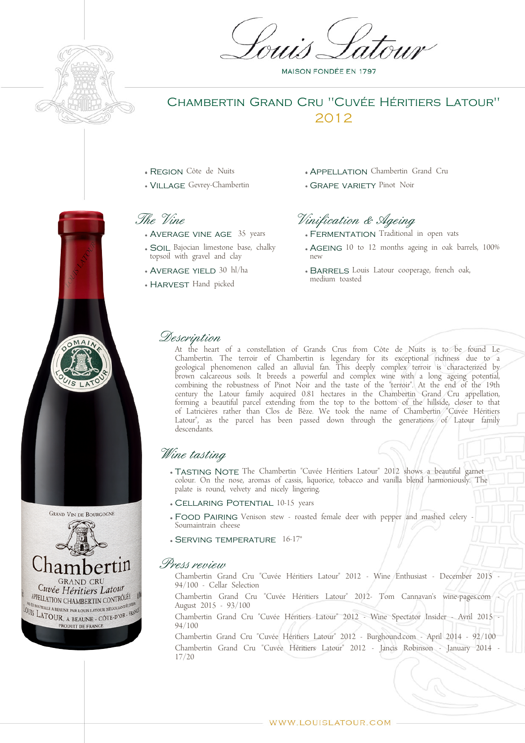

## Chambertin Grand Cru "Cuvée Héritiers Latour" 2012

- Region Côte de Nuits
- Village Gevrey-Chambertin

## The Vine

- Average vine age 35 years
- SOIL Bajocian limestone base, chalky topsoil with gravel and clay
- Average yield 30 hl/ha
- HARVEST Hand picked
- APPELLATION Chambertin Grand Cru
- **GRAPE VARIETY Pinot Noir**

# Vinification & Ageing

- FERMENTATION Traditional in open vats
- AGFING 10 to 12 months ageing in oak barrels, 100% new
- BARRELS Louis Latour cooperage, french oak, medium toasted

### Description

At the heart of a constellation of Grands Crus from Côte de Nuits is to be found Le Chambertin. The terroir of Chambertin is legendary for its exceptional richness due to a geological phenomenon called an alluvial fan. This deeply complex terroir is characterized by brown calcareous soils. It breeds a powerful and complex wine with a long ageing potential, combining the robustness of Pinot Noir and the taste of the "terroir". At the end of the 19th century the Latour family acquired 0.81 hectares in the Chambertin Grand Cru appellation, forming a beautiful parcel extending from the top to the bottom of the hillside, closer to that of Latricières rather than Clos de Bèze. We took the name of Chambertin "Cuvée Héritiers Latour", as the parcel has been passed down through the generations of Latour family descendants.

## Wine tasting

- TASTING NOTE The Chambertin "Cuvée Héritiers Latour" 2012 shows a beautiful garnet colour. On the nose, aromas of cassis, liquorice, tobacco and vanilla blend harmoniously. The palate is round, velvety and nicely lingering.
- Cellaring Potential 10-15 years
- FOOD PAIRING Venison stew roasted female deer with pepper and mashed celery -Soumaintrain cheese
- Serving temperature 16-17°

#### Press review

Chambertin Grand Cru "Cuvée Héritiers Latour" 2012 - Wine Enthusiast - December 2015 - 94/100 - Cellar Selection Chambertin Grand Cru "Cuvée Héritiers Latour" 2012- Tom Cannavan's wine-pages.com - August 2015 - 93/100 Chambertin Grand Cru "Cuvée Héritiers Latour" 2012 - Wine Spectator Insider - Avril 2015 - 94/100

Chambertin Grand Cru "Cuvée Héritiers Latour" 2012 - Burghound.com - April 2014 - 92/100 Chambertin Grand Cru "Cuvée Héritiers Latour" 2012 - Jancis Robinson - January 2014 - 17/20



 $MA$ 

**MAISON FONDÉE EN 1797**